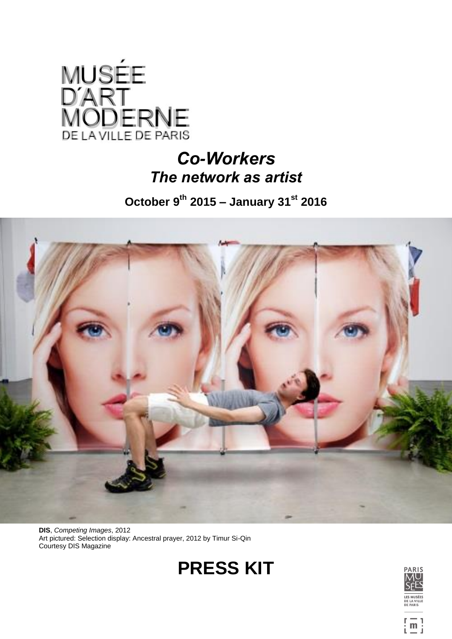

# *Co-Workers The network as artist*

**October 9 th 2015 – January 31st 2016**



**DIS**, *Competing Images*, 2012 Art pictured: Selection display: Ancestral prayer, 2012 by Timur Si-Qin Courtesy DIS Magazine





 $\left[\begin{smallmatrix}\overline{\mathsf{m}}\\1\end{smallmatrix}\right]$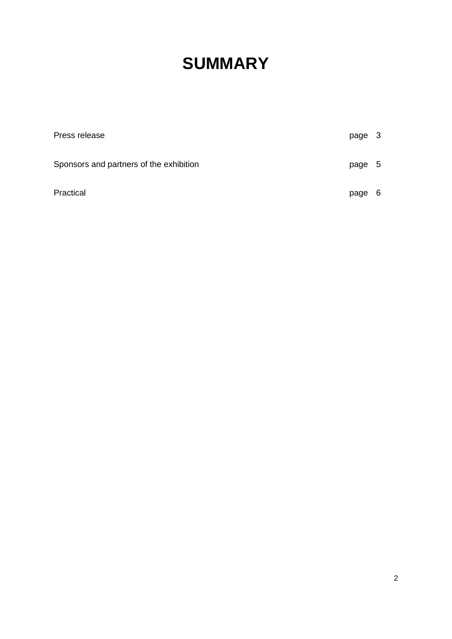# **SUMMARY**

| Press release                           | page | $\mathbf{3}$ |
|-----------------------------------------|------|--------------|
| Sponsors and partners of the exhibition | page | - 5          |
| Practical                               | page | - 6          |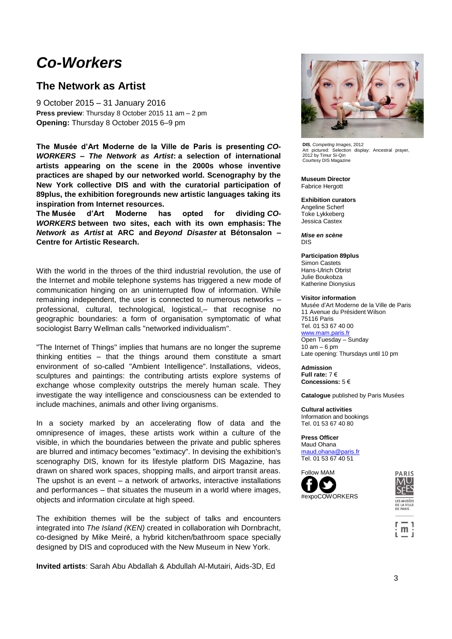## *Co-Workers*

### **The Network as Artist**

9 October 2015 – 31 January 2016 **Press preview**: Thursday 8 October 2015 11 am – 2 pm **Opening:** Thursday 8 October 2015 6–9 pm

**The Musée d'Art Moderne de la Ville de Paris is presenting** *CO-WORKERS – The Network as Artist***: a selection of international artists appearing on the scene in the 2000s whose inventive practices are shaped by our networked world. Scenography by the New York collective DIS and with the curatorial participation of 89plus, the exhibition foregrounds new artistic languages taking its inspiration from Internet resources.**

**The Musée d'Art Moderne has opted for dividing** *CO-WORKERS* **between two sites, each with its own emphasis: The**  *Network as Artist* **at ARC and** *Beyond Disaster* **at Bétonsalon – Centre for Artistic Research.**

With the world in the throes of the third industrial revolution, the use of the Internet and mobile telephone systems has triggered a new mode of communication hinging on an uninterrupted flow of information. While remaining independent, the user is connected to numerous networks – professional, cultural, technological, logistical,– that recognise no geographic boundaries: a form of organisation symptomatic of what sociologist Barry Wellman calls "networked individualism".

"The Internet of Things" implies that humans are no longer the supreme thinking entities – that the things around them constitute a smart environment of so-called "Ambient Intelligence". Installations, videos, sculptures and paintings: the contributing artists explore systems of exchange whose complexity outstrips the merely human scale. They investigate the way intelligence and consciousness can be extended to include machines, animals and other living organisms.

In a society marked by an accelerating flow of data and the omnipresence of images, these artists work within a culture of the visible, in which the boundaries between the private and public spheres are blurred and intimacy becomes "extimacy". In devising the exhibition's scenography DIS, known for its lifestyle platform DIS Magazine, has drawn on shared work spaces, shopping malls, and airport transit areas. The upshot is an event – a network of artworks, interactive installations and performances – that situates the museum in a world where images, objects and information circulate at high speed.

The exhibition themes will be the subject of talks and encounters integrated into *The Island (KEN)* created in collaboration wih Dornbracht, co-designed by Mike Meiré, a hybrid kitchen/bathroom space specially designed by DIS and coproduced with the New Museum in New York.

**Invited artists**: Sarah Abu Abdallah & Abdullah Al-Mutairi, Aids-3D, Ed



**DIS**, *Competing Images*, 2012 Art pictured: Selection display: Ancestral prayer, 2012 by Timur Si-Qin Courtesy DIS Magazine

**Museum Director** Fabrice Hergott

**Exhibition curators** Angeline Scherf Toke Lykkeberg Jessica Castex

*Mise en scène* DIS

**Participation 89plus** 

Simon Castets Hans-Ulrich Obrist Julie Boukobza Katherine Dionysius

#### **Visitor information**

Musée d'Art Moderne de la Ville de Paris 11 Avenue du Président Wilson 75116 Paris Tel. 01 53 67 40 00 www.mam.paris.fr Open Tuesday – Sunday  $10$  am  $-6$  pm Late opening: Thursdays until 10 pm

**Admission**

**Full rate:** 7 € **Concessions:** 5 €

**Catalogue** published by Paris Musées

**Cultural activities** Information and bookings Tel. 01 53 67 40 80

**Press Officer** Maud Ohan[a](mailto:maud.ohana@paris.fr) [maud.ohana@paris.fr](mailto:maud.ohana@paris.fr) Tel. 01 53 67 40 51





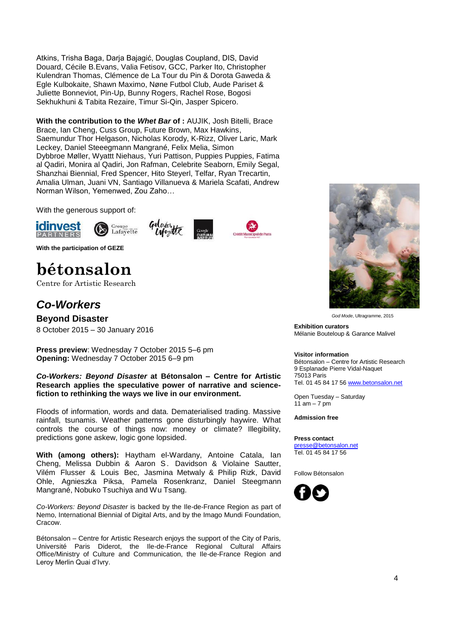Atkins, Trisha Baga, Darja Bajagić, Douglas Coupland, DIS, David Douard, Cécile B.Evans, Valia Fetisov, GCC, Parker Ito, Christopher Kulendran Thomas, Clémence de La Tour du Pin & Dorota Gaweda & Egle Kulbokaite, Shawn Maximo, Nøne Futbol Club, Aude Pariset & Juliette Bonneviot, Pin-Up, Bunny Rogers, Rachel Rose, Bogosi Sekhukhuni & Tabita Rezaire, Timur Si-Qin, Jasper Spicero.

**With the contribution to the** *Whet Bar* **of :** AUJIK, Josh Bitelli, Brace Brace, Ian Cheng, Cuss Group, Future Brown, Max Hawkins, Saemundur Thor Helgason, Nicholas Korody, K-Rizz, Oliver Laric, Mark Leckey, Daniel Steeegmann Mangrané, Felix Melia, Simon Dybbroe Møller, Wyattt Niehaus, Yuri Pattison, Puppies Puppies, Fatima al Qadiri, Monira al Qadiri, Jon Rafman, Celebrite Seaborn, Emily Segal, Shanzhai Biennial, Fred Spencer, Hito Steyerl, Telfar, Ryan Trecartin, Amalia Ulman, Juani VN, Santiago Villanueva & Mariela Scafati, Andrew Norman Wilson, Yemenwed, Zou Zaho…

With the generous support of:









**With the participation of GEZE**

# **bétonsalon**

Centre for Artistic Research

## *Co-Workers*

**Beyond Disaster** 8 October 2015 – 30 January 2016

**Press preview**: Wednesday 7 October 2015 5–6 pm **Opening:** Wednesday 7 October 2015 6–9 pm

*Co-Workers: Beyond Disaster* **at Bétonsalon – Centre for Artistic Research applies the speculative power of narrative and sciencefiction to rethinking the ways we live in our environment.**

Floods of information, words and data. Dematerialised trading. Massive rainfall, tsunamis. Weather patterns gone disturbingly haywire. What controls the course of things now: money or climate? Illegibility, predictions gone askew, logic gone lopsided.

**With (among others):** Haytham el-Wardany, Antoine Catala, Ian Cheng, Melissa Dubbin & Aaron S. Davidson & Violaine Sautter, Vilém Flusser & Louis Bec, Jasmina Metwaly & Philip Rizk, David Ohle, Agnieszka Piksa, Pamela Rosenkranz, Daniel Steegmann Mangrané, Nobuko Tsuchiya and Wu Tsang.

*Co-Workers: Beyond Disaster* is backed by the Ile-de-France Region as part of Nemo, International Biennial of Digital Arts, and by the Imago Mundi Foundation, Cracow.

Bétonsalon – Centre for Artistic Research enjoys the support of the City of Paris, Université Paris Diderot, the Ile-de-France Regional Cultural Affairs Office/Ministry of Culture and Communication, the Ile-de-France Region and Leroy Merlin Quai d'Ivry.



*God Mode*, Ultragramme, 2015

**Exhibition curators** Mélanie Bouteloup & Garance Malivel

#### **Visitor information**

Bétonsalon – Centre for Artistic Research 9 Esplanade Pierre Vidal-Naquet 75013 Paris Tel. 01 45 84 17 5[6 www.betonsalon.net](http://www.betonsalon.net/)

Open Tuesday – Saturday  $11$  am  $-7$  pm

**Admission free**

#### **Press contact**

[presse@betonsalon.net](mailto:presse@betonsalon.net) Tel. 01 45 84 17 56

Follow Bétonsalon

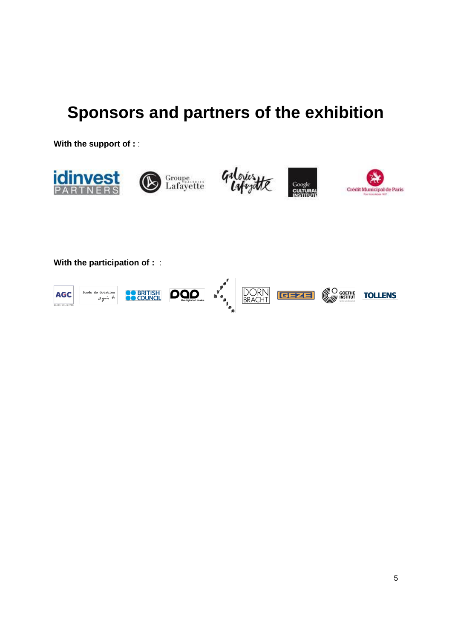# **Sponsors and partners of the exhibition**

**With the support of :** :



 $p^e$  $\begin{bmatrix} y & 0 \\ y & 0 \\ z & 0 \\ z & 0 \\ z & 0 \\ z & 0 \\ z & 0 \end{bmatrix}$ **DORN**<br>BRACHT **CO GOETHE SO BRITISH DOOD** fonds de dotation **GEZE AGC TOLLENS** agin b. **CLASS UNLIMITE**